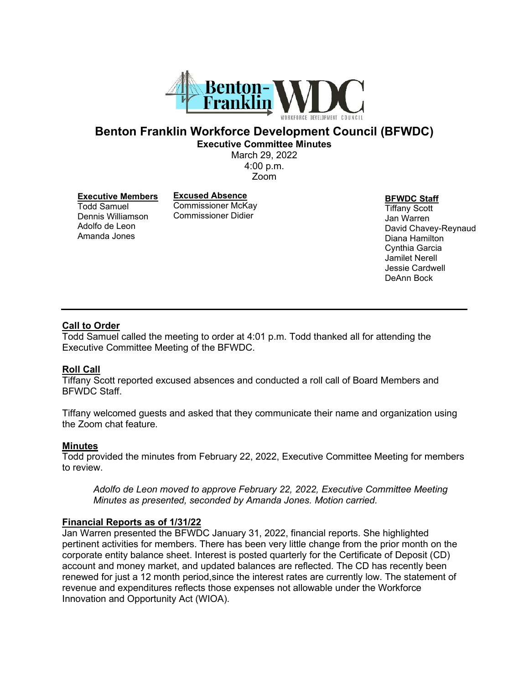

# **Benton Franklin Workforce Development Council (BFWDC) Executive Committee Minutes**

March 29, 2022 4:00 p.m. Zoom

#### **Executive Members**

Todd Samuel Dennis Williamson Adolfo de Leon Amanda Jones

**Excused Absence** Commissioner McKay Commissioner Didier

**BFWDC Staff**

Tiffany Scott Jan Warren David Chavey-Reynaud Diana Hamilton Cynthia Garcia Jamilet Nerell Jessie Cardwell DeAnn Bock

### **Call to Order**

Todd Samuel called the meeting to order at 4:01 p.m. Todd thanked all for attending the Executive Committee Meeting of the BFWDC.

### **Roll Call**

Tiffany Scott reported excused absences and conducted a roll call of Board Members and BFWDC Staff.

Tiffany welcomed guests and asked that they communicate their name and organization using the Zoom chat feature.

#### **Minutes**

Todd provided the minutes from February 22, 2022, Executive Committee Meeting for members to review.

*Adolfo de Leon moved to approve February 22, 2022, Executive Committee Meeting Minutes as presented, seconded by Amanda Jones. Motion carried.*

### **Financial Reports as of 1/31/22**

Jan Warren presented the BFWDC January 31, 2022, financial reports. She highlighted pertinent activities for members. There has been very little change from the prior month on the corporate entity balance sheet. Interest is posted quarterly for the Certificate of Deposit (CD) account and money market, and updated balances are reflected. The CD has recently been renewed for just a 12 month period,since the interest rates are currently low. The statement of revenue and expenditures reflects those expenses not allowable under the Workforce Innovation and Opportunity Act (WIOA).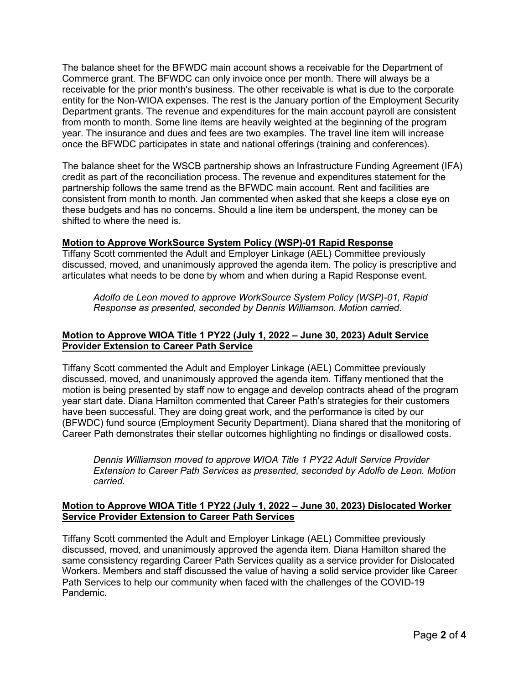The balance sheet for the BFWDC main account shows a receivable for the Department of Commerce grant. The BFWDC can only invoice once per month. There will always be a receivable for the prior month's business. The other receivable is what is due to the corporate entity for the Non-WIOA expenses. The rest is the January portion of the Employment Security Department grants. The revenue and expenditures for the main account payroll are consistent from month to month. Some line items are heavily weighted at the beginning of the program year. The insurance and dues and fees are two examples. The travel line item will increase once the BFWDC participates in state and national offerings (training and conferences).

The balance sheet for the WSCB partnership shows an Infrastructure Funding Agreement (IFA) credit as part of the reconciliation process. The revenue and expenditures statement for the partnership follows the same trend as the BFWDC main account. Rent and facilities are consistent from month to month. Jan commented when asked that she keeps a close eye on these budgets and has no concerns. Should a line item be underspent, the money can be shifted to where the need is.

## **Motion to Approve WorkSource System Policy (WSP)-01 Rapid Response**

Tiffany Scott commented the Adult and Employer Linkage (AEL) Committee previously discussed, moved, and unanimously approved the agenda item. The policy is prescriptive and articulates what needs to be done by whom and when during a Rapid Response event.

*Adolfo de Leon moved to approve WorkSource System Policy (WSP)-01, Rapid Response as presented, seconded by Dennis Williamson. Motion carried.*

## **Motion to Approve WIOA Title 1 PY22 (July 1, 2022 – June 30, 2023) Adult Service Provider Extension to Career Path Service**

Tiffany Scott commented the Adult and Employer Linkage (AEL) Committee previously discussed, moved, and unanimously approved the agenda item. Tiffany mentioned that the motion is being presented by staff now to engage and develop contracts ahead of the program year start date. Diana Hamilton commented that Career Path's strategies for their customers have been successful. They are doing great work, and the performance is cited by our (BFWDC) fund source (Employment Security Department). Diana shared that the monitoring of Career Path demonstrates their stellar outcomes highlighting no findings or disallowed costs.

*Dennis Williamson moved to approve WIOA Title 1 PY22 Adult Service Provider Extension to Career Path Services as presented, seconded by Adolfo de Leon. Motion carried.*

## **Motion to Approve WIOA Title 1 PY22 (July 1, 2022 – June 30, 2023) Dislocated Worker Service Provider Extension to Career Path Services**

Tiffany Scott commented the Adult and Employer Linkage (AEL) Committee previously discussed, moved, and unanimously approved the agenda item. Diana Hamilton shared the same consistency regarding Career Path Services quality as a service provider for Dislocated Workers. Members and staff discussed the value of having a solid service provider like Career Path Services to help our community when faced with the challenges of the COVID-19 Pandemic.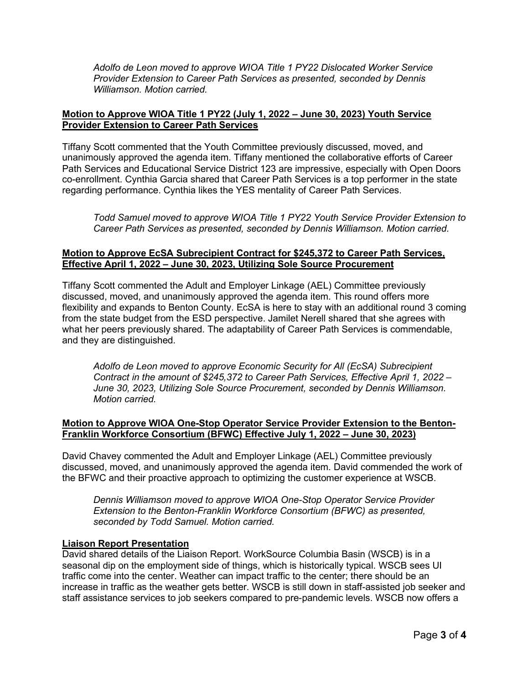*Adolfo de Leon moved to approve WIOA Title 1 PY22 Dislocated Worker Service Provider Extension to Career Path Services as presented, seconded by Dennis Williamson. Motion carried.*

## **Motion to Approve WIOA Title 1 PY22 (July 1, 2022 – June 30, 2023) Youth Service Provider Extension to Career Path Services**

Tiffany Scott commented that the Youth Committee previously discussed, moved, and unanimously approved the agenda item. Tiffany mentioned the collaborative efforts of Career Path Services and Educational Service District 123 are impressive, especially with Open Doors co-enrollment. Cynthia Garcia shared that Career Path Services is a top performer in the state regarding performance. Cynthia likes the YES mentality of Career Path Services.

*Todd Samuel moved to approve WIOA Title 1 PY22 Youth Service Provider Extension to Career Path Services as presented, seconded by Dennis Williamson. Motion carried.*

### **Motion to Approve EcSA Subrecipient Contract for \$245,372 to Career Path Services, Effective April 1, 2022 – June 30, 2023, Utilizing Sole Source Procurement**

Tiffany Scott commented the Adult and Employer Linkage (AEL) Committee previously discussed, moved, and unanimously approved the agenda item. This round offers more flexibility and expands to Benton County. EcSA is here to stay with an additional round 3 coming from the state budget from the ESD perspective. Jamilet Nerell shared that she agrees with what her peers previously shared. The adaptability of Career Path Services is commendable, and they are distinguished.

*Adolfo de Leon moved to approve Economic Security for All (EcSA) Subrecipient Contract in the amount of \$245,372 to Career Path Services, Effective April 1, 2022 – June 30, 2023, Utilizing Sole Source Procurement, seconded by Dennis Williamson. Motion carried.*

## **Motion to Approve WIOA One-Stop Operator Service Provider Extension to the Benton-Franklin Workforce Consortium (BFWC) Effective July 1, 2022 – June 30, 2023)**

David Chavey commented the Adult and Employer Linkage (AEL) Committee previously discussed, moved, and unanimously approved the agenda item. David commended the work of the BFWC and their proactive approach to optimizing the customer experience at WSCB.

*Dennis Williamson moved to approve WIOA One-Stop Operator Service Provider Extension to the Benton-Franklin Workforce Consortium (BFWC) as presented, seconded by Todd Samuel. Motion carried.*

## **Liaison Report Presentation**

David shared details of the Liaison Report. WorkSource Columbia Basin (WSCB) is in a seasonal dip on the employment side of things, which is historically typical. WSCB sees UI traffic come into the center. Weather can impact traffic to the center; there should be an increase in traffic as the weather gets better. WSCB is still down in staff-assisted job seeker and staff assistance services to job seekers compared to pre-pandemic levels. WSCB now offers a